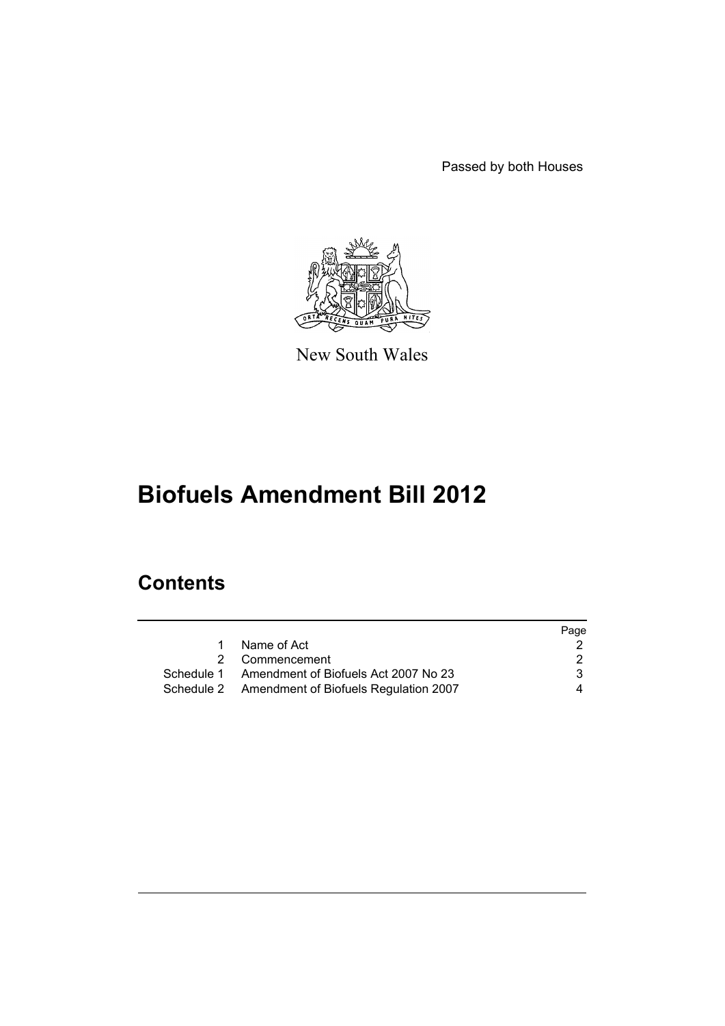Passed by both Houses



New South Wales

# **Biofuels Amendment Bill 2012**

### **Contents**

|                                                  | Page |
|--------------------------------------------------|------|
| Name of Act<br>1                                 |      |
| 2 Commencement                                   | 2    |
| Schedule 1 Amendment of Biofuels Act 2007 No 23  | 3    |
| Schedule 2 Amendment of Biofuels Regulation 2007 | 4    |
|                                                  |      |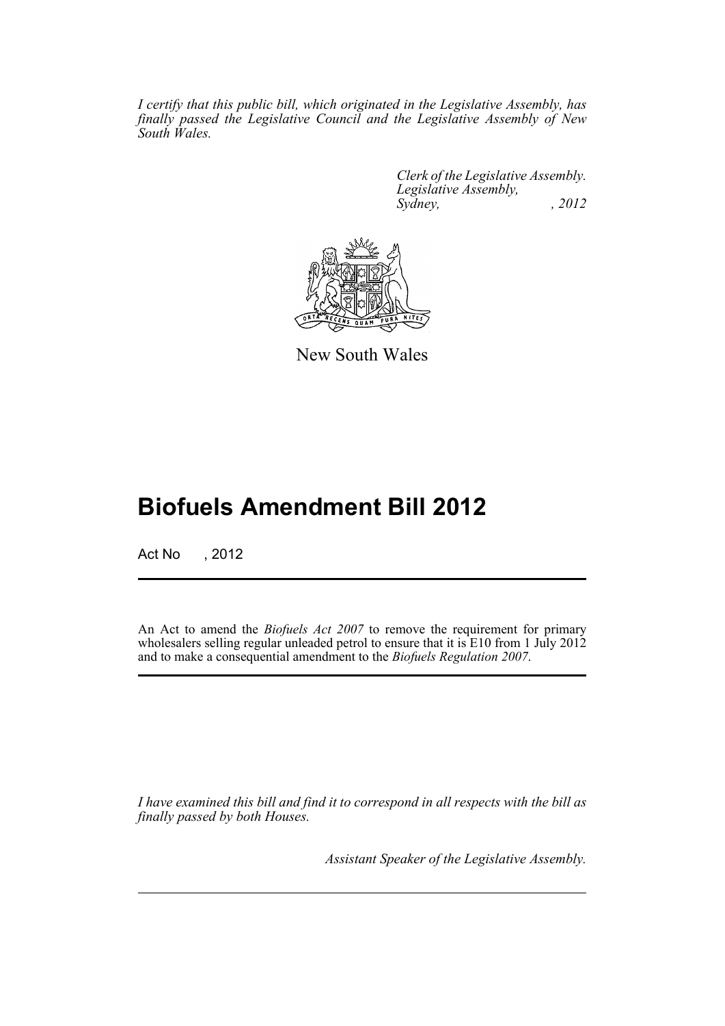*I certify that this public bill, which originated in the Legislative Assembly, has finally passed the Legislative Council and the Legislative Assembly of New South Wales.*

> *Clerk of the Legislative Assembly. Legislative Assembly, Sydney, , 2012*



New South Wales

## **Biofuels Amendment Bill 2012**

Act No , 2012

An Act to amend the *Biofuels Act 2007* to remove the requirement for primary wholesalers selling regular unleaded petrol to ensure that it is E10 from 1 July 2012 and to make a consequential amendment to the *Biofuels Regulation 2007*.

*I have examined this bill and find it to correspond in all respects with the bill as finally passed by both Houses.*

*Assistant Speaker of the Legislative Assembly.*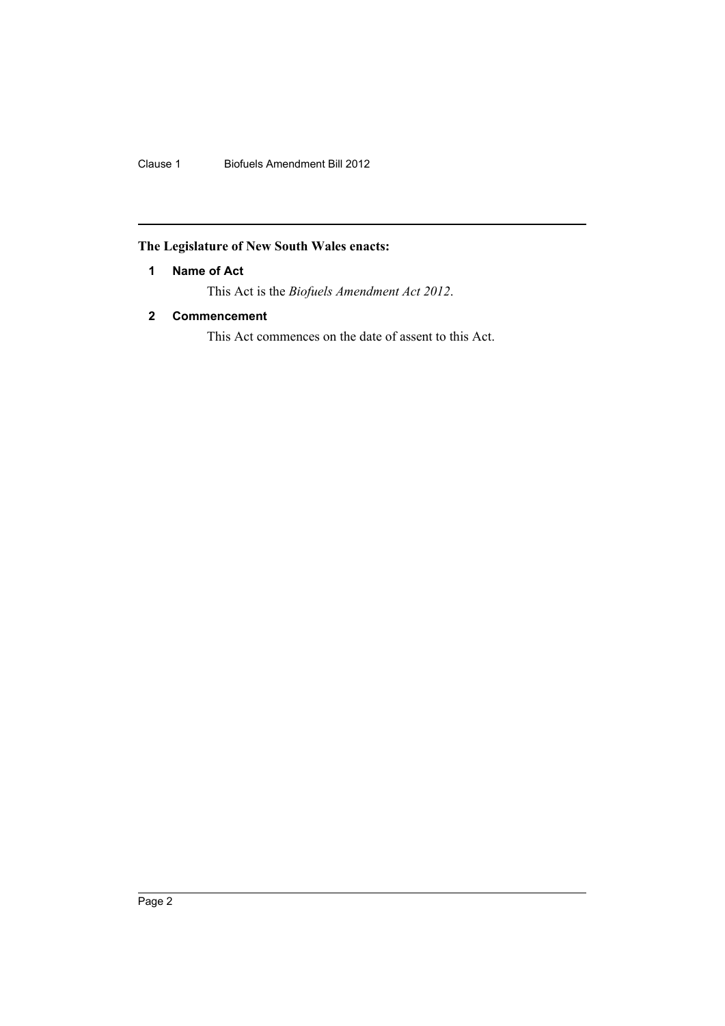Clause 1 Biofuels Amendment Bill 2012

#### <span id="page-3-0"></span>**The Legislature of New South Wales enacts:**

#### **1 Name of Act**

This Act is the *Biofuels Amendment Act 2012*.

#### <span id="page-3-1"></span>**2 Commencement**

This Act commences on the date of assent to this Act.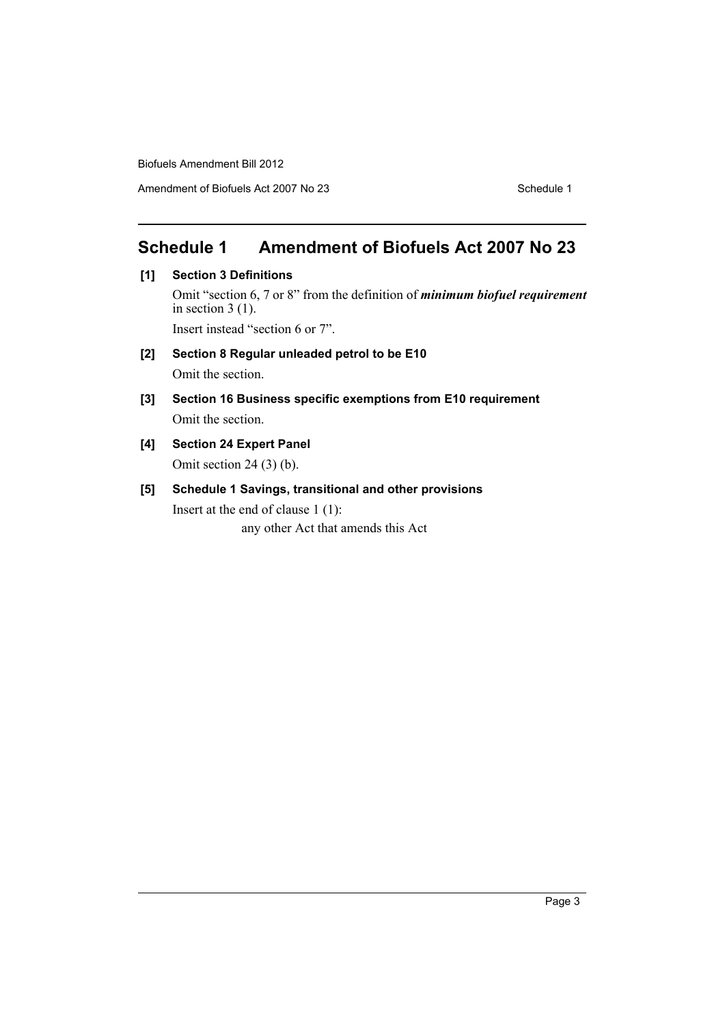Biofuels Amendment Bill 2012

Amendment of Biofuels Act 2007 No 23 Schedule 1

#### <span id="page-4-0"></span>**Schedule 1 Amendment of Biofuels Act 2007 No 23**

**[1] Section 3 Definitions**

Omit "section 6, 7 or 8" from the definition of *minimum biofuel requirement* in section  $3(1)$ .

Insert instead "section 6 or 7".

**[2] Section 8 Regular unleaded petrol to be E10**

Omit the section.

- **[3] Section 16 Business specific exemptions from E10 requirement** Omit the section.
- **[4] Section 24 Expert Panel** Omit section 24 (3) (b).
- **[5] Schedule 1 Savings, transitional and other provisions** Insert at the end of clause 1 (1): any other Act that amends this Act